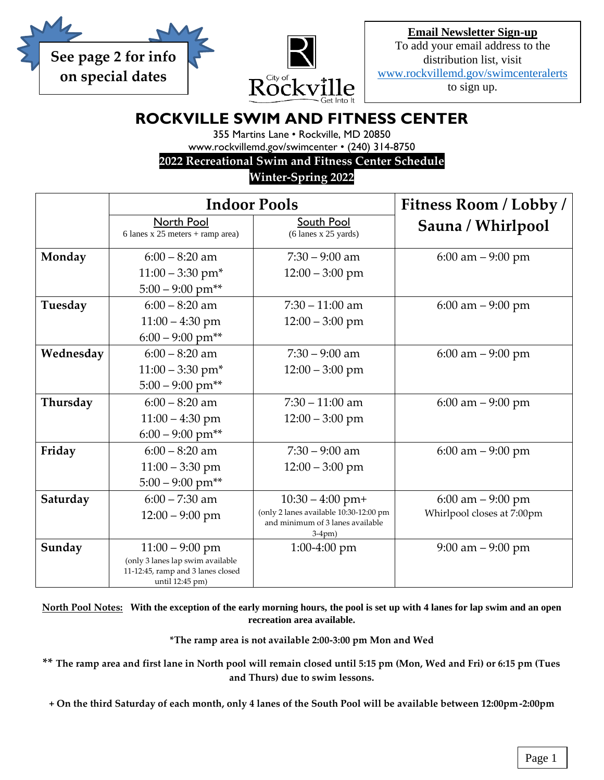



**Email Newsletter Sign-up** To add your email address to the distribution list, visit [www.rockvillemd.gov/swimcenteralerts](http://www.rockvillemd.gov/swimcenteralerts) to sign up.

## **ROCKVILLE SWIM AND FITNESS CENTER**

355 Martins Lane • Rockville, MD 20850 www.rockvillemd.gov/swimcenter • (240) 314-8750

**2022 Recreational Swim and Fitness Center Schedule**

**Winter-Spring 2022**

|           | <b>Indoor Pools</b>                                                   |                                              | Fitness Room / Lobby /     |
|-----------|-----------------------------------------------------------------------|----------------------------------------------|----------------------------|
|           | North Pool<br>6 lanes x 25 meters + ramp area)                        | South Pool<br>$(6$ lanes x 25 yards)         | Sauna / Whirlpool          |
| Monday    | $6:00 - 8:20$ am                                                      | $7:30 - 9:00$ am                             | $6:00$ am $-9:00$ pm       |
|           | $11:00 - 3:30$ pm <sup>*</sup>                                        | $12:00 - 3:00$ pm                            |                            |
|           | $5:00 - 9:00$ pm**                                                    |                                              |                            |
| Tuesday   | $6:00 - 8:20$ am                                                      | $7:30 - 11:00$ am                            | $6:00$ am $-9:00$ pm       |
|           | $11:00 - 4:30$ pm                                                     | $12:00 - 3:00$ pm                            |                            |
|           | $6:00 - 9:00$ pm**                                                    |                                              |                            |
| Wednesday | $6:00 - 8:20$ am                                                      | $7:30 - 9:00$ am                             | $6:00$ am $-9:00$ pm       |
|           | $11:00 - 3:30$ pm <sup>*</sup>                                        | $12:00 - 3:00$ pm                            |                            |
|           | $5:00 - 9:00$ pm**                                                    |                                              |                            |
| Thursday  | $6:00 - 8:20$ am                                                      | $7:30 - 11:00$ am                            | $6:00$ am $-9:00$ pm       |
|           | $11:00 - 4:30$ pm                                                     | $12:00 - 3:00$ pm                            |                            |
|           | $6:00 - 9:00$ pm**                                                    |                                              |                            |
| Friday    | $6:00 - 8:20$ am                                                      | $7:30 - 9:00$ am                             | $6:00$ am $-9:00$ pm       |
|           | $11:00 - 3:30$ pm                                                     | $12:00 - 3:00$ pm                            |                            |
|           | $5:00 - 9:00$ pm**                                                    |                                              |                            |
| Saturday  | $6:00 - 7:30$ am                                                      | $10:30 - 4:00$ pm+                           | $6:00$ am $-9:00$ pm       |
|           | $12:00 - 9:00$ pm                                                     | (only 2 lanes available 10:30-12:00 pm       | Whirlpool closes at 7:00pm |
|           |                                                                       | and minimum of 3 lanes available<br>$3-4pm)$ |                            |
| Sunday    | $11:00 - 9:00$ pm                                                     | $1:00-4:00$ pm                               | $9:00$ am $-9:00$ pm       |
|           | (only 3 lanes lap swim available<br>11-12:45, ramp and 3 lanes closed |                                              |                            |
|           | until 12:45 pm)                                                       |                                              |                            |

**North Pool Notes: With the exception of the early morning hours, the pool is set up with 4 lanes for lap swim and an open recreation area available.**

**\*The ramp area is not available 2:00-3:00 pm Mon and Wed**

**\*\* The ramp area and first lane in North pool will remain closed until 5:15 pm (Mon, Wed and Fri) or 6:15 pm (Tues and Thurs) due to swim lessons.**

**+ On the third Saturday of each month, only 4 lanes of the South Pool will be available between 12:00pm-2:00pm**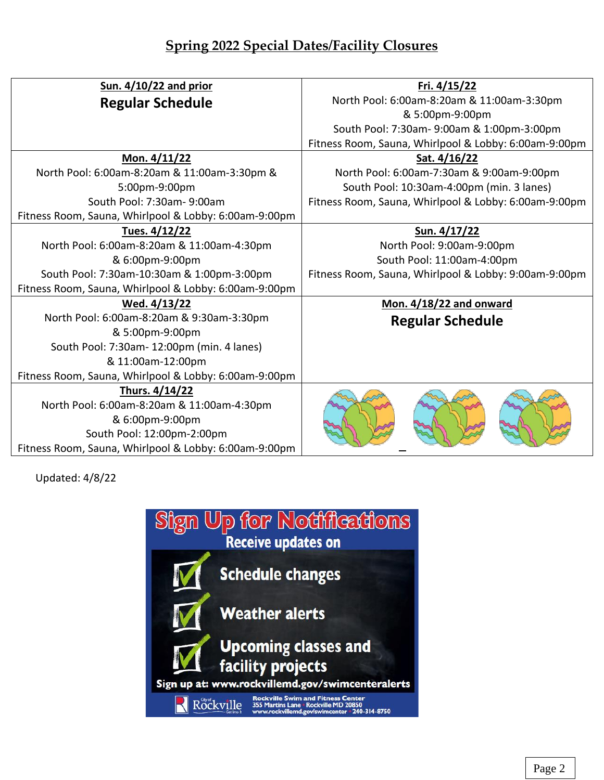## **Spring 2022 Special Dates/Facility Closures**

| Sun. 4/10/22 and prior                                | Fri. 4/15/22                                          |  |
|-------------------------------------------------------|-------------------------------------------------------|--|
| <b>Regular Schedule</b>                               | North Pool: 6:00am-8:20am & 11:00am-3:30pm            |  |
|                                                       | & 5:00pm-9:00pm                                       |  |
|                                                       | South Pool: 7:30am-9:00am & 1:00pm-3:00pm             |  |
|                                                       | Fitness Room, Sauna, Whirlpool & Lobby: 6:00am-9:00pm |  |
| Mon. 4/11/22                                          | Sat. 4/16/22                                          |  |
| North Pool: 6:00am-8:20am & 11:00am-3:30pm &          | North Pool: 6:00am-7:30am & 9:00am-9:00pm             |  |
| 5:00pm-9:00pm                                         | South Pool: 10:30am-4:00pm (min. 3 lanes)             |  |
| South Pool: 7:30am-9:00am                             | Fitness Room, Sauna, Whirlpool & Lobby: 6:00am-9:00pm |  |
| Fitness Room, Sauna, Whirlpool & Lobby: 6:00am-9:00pm |                                                       |  |
| Tues. 4/12/22                                         | Sun. 4/17/22                                          |  |
| North Pool: 6:00am-8:20am & 11:00am-4:30pm            | North Pool: 9:00am-9:00pm                             |  |
| & 6:00pm-9:00pm                                       | South Pool: 11:00am-4:00pm                            |  |
| South Pool: 7:30am-10:30am & 1:00pm-3:00pm            | Fitness Room, Sauna, Whirlpool & Lobby: 9:00am-9:00pm |  |
| Fitness Room, Sauna, Whirlpool & Lobby: 6:00am-9:00pm |                                                       |  |
| Wed. 4/13/22                                          | <b>Mon. 4/18/22 and onward</b>                        |  |
| North Pool: 6:00am-8:20am & 9:30am-3:30pm             | <b>Regular Schedule</b>                               |  |
| & 5:00pm-9:00pm                                       |                                                       |  |
| South Pool: 7:30am- 12:00pm (min. 4 lanes)            |                                                       |  |
| & 11:00am-12:00pm                                     |                                                       |  |
| Fitness Room, Sauna, Whirlpool & Lobby: 6:00am-9:00pm |                                                       |  |
| Thurs. 4/14/22                                        |                                                       |  |
| North Pool: 6:00am-8:20am & 11:00am-4:30pm            |                                                       |  |
| & 6:00pm-9:00pm                                       |                                                       |  |
| South Pool: 12:00pm-2:00pm                            |                                                       |  |
| Fitness Room, Sauna, Whirlpool & Lobby: 6:00am-9:00pm |                                                       |  |

Updated: 4/8/22